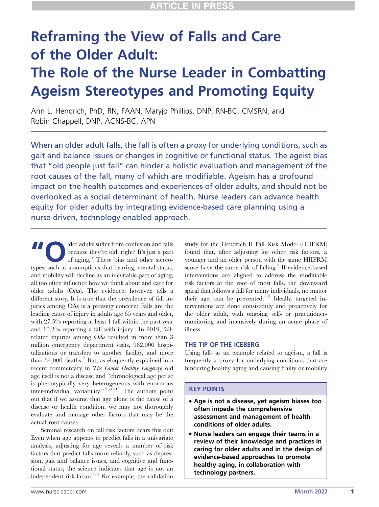# Reframing the View of Falls and Care of the Older Adult: The Role of the Nurse Leader in Combatting Ageism Stereotypes and Promoting Equity

Ann L. Hendrich, PhD, RN, FAAN, Maryjo Phillips, DNP, RN-BC, CMSRN, and Robin Chappell, DNP, ACNS-BC, APN

When an older adult falls, the fall is often a proxy for underlying conditions, such as gait and balance issues or changes in cognitive or functional status. The ageist bias that "old people just fall" can hinder a holistic evaluation and management of the root causes of the fall, many of which are modifiable. Ageism has a profound impact on the health outcomes and experiences of older adults, and should not be overlooked as a social determinant of health. Nurse leaders can advance health equity for older adults by integrating evidence-based care planning using a nurse-driven, technology-enabled approach.

Ider adults suffer from confusion and falls<br>
because they're old, right? It's just a part<br>
of aging." These bias and other stereobecause they're old, right? It's just a part types, such as assumptions that hearing, mental status, and mobility will decline as an inevitable part of aging, all too often influence how we think about and care for older adults (OAs). The evidence, however, tells a different story. It is true that the prevalence of fall injuries among OAs is a pressing concern: Falls are the leading cause of injury in adults age 65 years and older, with 27.5% reporting at least 1 fall within the past year and  $10.2\%$  $10.2\%$  reporting a fall with injury.<sup>1</sup> In 2019, fallrelated injuries among OAs resulted in more than 3 million emergency department visits, 982,000 hospitalizations or transfers to another facility, and more than  $34,000$  deaths.<sup>[2](#page-3-1)</sup> But, as eloquently explained in a recent commentary in The Lancet Healthy Longevity, old age itself is not a disease and "chronological age per se is phenotypically very heterogeneous with enormous inter-individual variability."[3](#page-3-2)(p.610) The authors point out that if we assume that age alone is the cause of a disease or health condition, we may not thoroughly evaluate and manage other factors that may be the actual root causes.

Seminal research on fall risk factors bears this out: Even when age appears to predict falls in a univariate analysis, adjusting for age reveals a number of risk factors that predict falls more reliably, such as depression, gait and balance issues, and cognitive and functional status; the science indicates that age is not an independent risk factor. $4-6$  For example, the validation

study for the Hendrich II Fall Risk Model (HIIFRM) found that, after adjusting for other risk factors, a younger and an older person with the same HIIFRM score have the same risk of falling. $4$  If evidence-based interventions are aligned to address the modifiable risk factors at the root of most falls, the downward spiral that follows a fall for many individuals, no matter their age, can be prevented.<sup>[7](#page-3-4)[,8](#page-3-5)</sup> Ideally, targeted interventions are done consistently and proactively for the older adult, with ongoing self- or practitionermonitoring and intensively during an acute phase of illness.

#### THE TIP OF THE ICEBERG

Using falls as an example related to ageism, a fall is frequently a proxy for underlying conditions that are hindering healthy aging and causing frailty or mobility

## KEY POINTS

- Age is not a disease, yet ageism biases too often impede the comprehensive assessment and management of health conditions of older adults.
- Nurse leaders can engage their teams in a review of their knowledge and practices in caring for older adults and in the design of evidence-based approaches to promote healthy aging, in collaboration with technology partners.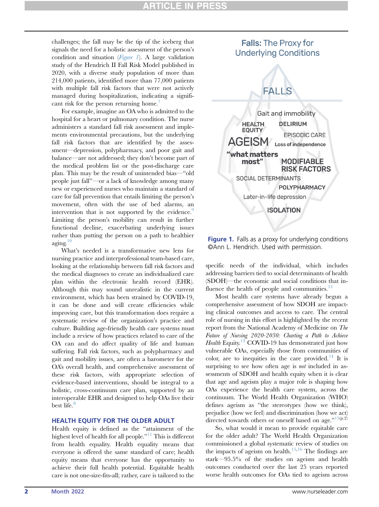# CLE IN

challenges; the fall may be the tip of the iceberg that signals the need for a holistic assessment of the person's condition and situation  $(Figure 1)$  $(Figure 1)$  $(Figure 1)$ . A large validation study of the Hendrich II Fall Risk Model published in 2020, with a diverse study population of more than 214,000 patients, identified more than 77,000 patients with multiple fall risk factors that were not actively managed during hospitalization, indicating a signifi-cant risk for the person returning home.<sup>[7](#page-3-4)</sup>

For example, imagine an OA who is admitted to the hospital for a heart or pulmonary condition. The nurse administers a standard fall risk assessment and implements environmental precautions, but the underlying fall risk factors that are identified by the assessment—depression, polypharmacy, and poor gait and balance—are not addressed; they don't become part of the medical problem list or the post-discharge care plan. This may be the result of unintended bias—"old people just fall"—or a lack of knowledge among many new or experienced nurses who maintain a standard of care for fall prevention that entails limiting the person's movement, often with the use of bed alarms, an intervention that is not supported by the evidence.<sup>[9](#page-3-6)</sup> Limiting the person's mobility can result in further functional decline, exacerbating underlying issues rather than putting the person on a path to healthier aging. $10$ 

What's needed is a transformative new lens for nursing practice and interprofessional team-based care, looking at the relationship between fall risk factors and the medical diagnoses to create an individualized care plan within the electronic health record (EHR). Although this may sound unrealistic in the current environment, which has been strained by COVID-19, it can be done and will create efficiencies while improving care, but this transformation does require a systematic review of the organization's practice and culture. Building age-friendly health care systems must include a review of how practices related to care of the OA can and do affect quality of life and human suffering. Fall risk factors, such as polypharmacy and gait and mobility issues, are often a barometer for the OA's overall health, and comprehensive assessment of these risk factors, with appropriate selection of evidence-based interventions, should be integral to a holistic, cross-continuum care plan, supported by an interoperable EHR and designed to help OAs live their best life.<sup>[8](#page-3-5)</sup>

#### HEALTH EQUITY FOR THE OLDER ADULT

Health equity is defined as the "attainment of the highest level of health for all people."<sup>[11](#page-3-8)</sup> This is different from health equality. Health equality means that everyone is offered the same standard of care; health equity means that everyone has the opportunity to achieve their full health potential. Equitable health care is not one-size-fits-all; rather, care is tailored to the

# <span id="page-1-0"></span>**Falls: The Proxy for Underlying Conditions**



**Figure 1.** Falls as a proxy for underlying conditions ©Ann L. Hendrich. Used with permission.

specific needs of the individual, which includes addressing barriers tied to social determinants of health (SDOH)—the economic and social conditions that in-fluence the health of people and communities.<sup>[12](#page-3-9)</sup>

Most health care systems have already begun a comprehensive assessment of how SDOH are impacting clinical outcomes and access to care. The central role of nursing in this effort is highlighted by the recent report from the National Academy of Medicine on The<br>Future of Nursing 2020-2030: Charting a Path to Achieve  $Health$  Equity.<sup>13</sup> COVID-19 has demonstrated just how<br>vulnerable  $\Omega$ As, especially those from communities of vulnerable OAs, especially those from communities of color, are to inequities in the care provided.<sup>[14](#page-3-11)</sup> It is surprising to see how often age is *not* included in assessments of SDOH and health equity when it is clear that age and ageism play a major role is shaping how OAs experience the health care system, across the continuum. The World Health Organization (WHO) defines ageism as "the stereotypes (how we think), prejudice (how we feel) and discrimination (how we act) directed towards others or oneself based on age."<sup>[15](#page-3-12)(p.2)</sup>

So, what would it mean to provide equitable care for the older adult? The World Health Organization commissioned a global systematic review of studies on the impacts of ageism on health. $15,16$  $15,16$  The findings are stark—95.5% of the studies on ageism and health outcomes conducted over the last 25 years reported worse health outcomes for OAs tied to ageism across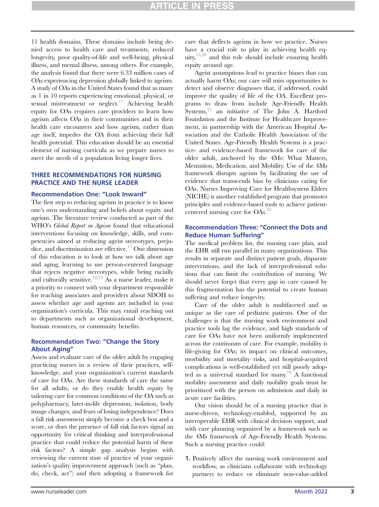11 health domains. These domains include being denied access to health care and treatments, reduced longevity, poor quality-of-life and well-being, physical illness, and mental illness, among others. For example, the analysis found that there were 6.33 million cases of OAs experiencing depression globally linked to ageism. A study of OAs in the United States found that as many as 1 in 10 reports experiencing emotional, physical, or sexual mistreatment or neglect. $17$  Achieving health equity for OAs requires care providers to learn how ageism affects OAs in their communities and in their health care encounters and how ageism, rather than age itself, impedes the OA from achieving their full health potential. This education should be an essential element of nursing curricula as we prepare nurses to meet the needs of a population living longer lives.

#### THREE RECOMMENDATIONS FOR NURSING PRACTICE AND THE NURSE LEADER

#### Recommendation One: "Look Inward"

The first step to reducing ageism in practice is to know one's own understanding and beliefs about equity and ageism. The literature review conducted as part of the WHO's *Global Report on Ageism* found that educational interventions focusing on knowledge, skills, and competencies aimed at reducing ageist stereotypes, preju-dice, and discrimination are effective.<sup>[15](#page-3-12)</sup> One dimension of this education is to look at how we talk about age and aging, learning to use person-centered language that rejects negative stereotypes, while being racially and culturally sensitive.<sup>[18,](#page-3-15)[19](#page-4-0)</sup> As a nurse leader, make it a priority to connect with your department responsible for teaching associates and providers about SDOH to assess whether age and ageism are included in your organization's curricula. This may entail reaching out to departments such as organizational development, human resources, or community benefits.

#### Recommendation Two: "Change the Story About Aging"

Assess and evaluate care of the older adult by engaging practicing nurses in a review of their practices, selfknowledge, and your organization's current standards of care for OAs. Are these standards of care the same for all adults, or do they enable health equity by tailoring care for common conditions of the OA such as polypharmacy, later-in-life depression, isolation, body image changes, and fears of losing independence? Does a fall risk assessment simply become a check box and a score, or does the presence of fall risk factors signal an opportunity for critical thinking and interprofessional practice that could reduce the potential harm of these risk factors? A simple gap analysis begins with reviewing the current state of practice of your organization's quality improvement approach (such as "plan, do, check, act") and then adopting a framework for

care that deflects ageism in how we practice. Nurses have a crucial role to play in achieving health equity, $13,20$  $13,20$  and this role should include ensuring health equity around age.

Ageist assumptions lead to practice biases that can actually harm OAs; our care will miss opportunities to detect and observe diagnoses that, if addressed, could improve the quality of life of the OA. Excellent programs to draw from include Age-Friendly Health  $S$ ystems, $21$  an initiative of The John A. Hartford Foundation and the Institute for Healthcare Improvement, in partnership with the American Hospital Association and the Catholic Health Association of the United States. Age-Friendly Health Systems is a practice- and evidence-based framework for care of the older adult, anchored by the 4Ms: What Matters, Mentation, Medication, and Mobility. Use of the 4Ms framework disrupts ageism by facilitating the use of evidence that transcends bias by clinicians caring for OAs. Nurses Improving Care for Healthsystem Elders (NICHE) is another established program that promotes principles and evidence-based tools to achieve patient-centered nursing care for OAs.<sup>[22](#page-4-3)</sup>

## Recommendation Three: "Connect the Dots and Reduce Human Suffering"

The medical problem list, the nursing care plan, and the EHR still run parallel in many organizations. This results in separate and distinct patient goals, disparate interventions, and the lack of interprofessional solutions that can limit the contribution of nursing. We should never forget that every gap in care caused by this fragmentation has the potential to create human suffering and reduce longevity.

Care of the older adult is multifaceted and as unique as the care of pediatric patients. One of the challenges is that the nursing work environment and practice tools lag the evidence, and high standards of care for OAs have not been uniformly implemented across the continuum of care. For example, mobility is life-giving for OAs; its impact on clinical outcomes, morbidity and mortality risks, and hospital-acquired complications is well-established yet still poorly adop-ted as a universal standard for many.<sup>[10](#page-3-7)</sup> A functional mobility assessment and daily mobility goals must be prioritized with the person on admission and daily in acute care facilities.

Our vision should be of a nursing practice that is nurse-driven, technology-enabled, supported by an interoperable EHR with clinical decision support, and with care planning organized by a framework such as the 4Ms framework of Age-Friendly Health Systems. Such a nursing practice could:

1. Positively affect the nursing work environment and workflow, as clinicians collaborate with technology partners to reduce or eliminate non-value-added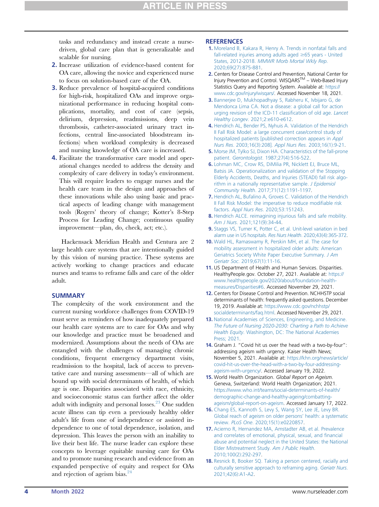tasks and redundancy and instead create a nursedriven, global care plan that is generalizable and scalable for nursing.

- 2. Increase utilization of evidence-based content for OA care, allowing the novice and experienced nurse to focus on solution-based care of the OA.
- 3. Reduce prevalence of hospital-acquired conditions for high-risk, hospitalized OAs and improve organizational performance in reducing hospital complications, mortality, and cost of care (sepsis, delirium, depression, readmissions, deep vein thrombosis, catheter-associated urinary tract infections, central line-associated bloodstream infections) when workload complexity is decreased and nursing knowledge of OA care is increased.
- 4. Facilitate the transformative care model and operational changes needed to address the density and complexity of care delivery in today's environment. This will require leaders to engage nurses and the health care team in the design and approaches of these innovations while also using basic and practical aspects of leading change with management tools (Rogers' theory of change; Kotter's 8-Step Process for Leading Change; continuous quality improvement—plan, do, check, act; etc.).

Hackensack Meridian Health and Centura are 2 large health care systems that are intentionally guided by this vision of nursing practice. These systems are actively working to change practices and educate nurses and teams to reframe falls and care of the older adult.

#### **SUMMARY**

The complexity of the work environment and the current nursing workforce challenges from COVID-19 must serve as reminders of how inadequately prepared our health care systems are to care for OAs and why our knowledge and practice must be broadened and modernized. Assumptions about the needs of OAs are entangled with the challenges of managing chronic conditions, frequent emergency department visits, readmission to the hospital, lack of access to preventative care and nursing assessments—all of which are bound up with social determinants of health, of which age is one. Disparities associated with race, ethnicity, and socioeconomic status can further affect the older adult with indignity and personal losses. $^{23}$  One sudden acute illness can tip even a previously healthy older adult's life from one of independence or assisted independence to one of total dependence, isolation, and depression. This leaves the person with an inability to live their best life. The nurse leader can explore these concepts to leverage equitable nursing care for OAs and to promote nursing research and evidence from an expanded perspective of equity and respect for OAs and rejection of ageism bias.<sup>24</sup>

#### **REFERENCES**

- <span id="page-3-0"></span>1. [Moreland B, Kakara R, Henry A. Trends in nonfatal falls and](http://refhub.elsevier.com/S1541-4612(22)00033-7/sref1) [fall-related injuries among adults aged](http://refhub.elsevier.com/S1541-4612(22)00033-7/sref1)  $\geq 65$  years - United States, 2012-2018. [MMWR Morb Mortal Wkly Rep](http://refhub.elsevier.com/S1541-4612(22)00033-7/sref1). [2020;69\(27\):875-881](http://refhub.elsevier.com/S1541-4612(22)00033-7/sref1).
- <span id="page-3-1"></span>2. Centers for Disease Control and Prevention, National Center for Injury Prevention and Control. WISQARSTM – Web-Based Injury Statistics Query and Reporting System. Available at: [https://](https://www.cdc.gov/injury/wisqars/) [www.cdc.gov/injury/wisqars/](https://www.cdc.gov/injury/wisqars/). Accessed November 18, 2021.
- <span id="page-3-2"></span>3. [Bannerjee D, Mukhopadhyay S, Rabheru K, Ivbijaro G, de](http://refhub.elsevier.com/S1541-4612(22)00033-7/sref3) [Mendonca Lima CA. Not a disease: a global call for action](http://refhub.elsevier.com/S1541-4612(22)00033-7/sref3) [urging revision of the ICD-11 classi](http://refhub.elsevier.com/S1541-4612(22)00033-7/sref3)fication of old age. Lancet Healthy Longev[. 2021;2:e610-e612](http://refhub.elsevier.com/S1541-4612(22)00033-7/sref3).
- <span id="page-3-3"></span>4. [Hendrich AL, Bender PS, Nyhuis A. Validation of the Hendrich](http://refhub.elsevier.com/S1541-4612(22)00033-7/sref4) [II Fall Risk Model: a large concurrent case/control study of](http://refhub.elsevier.com/S1541-4612(22)00033-7/sref4) [hospitalized patients \[published correction appears in](http://refhub.elsevier.com/S1541-4612(22)00033-7/sref4) Appl Nurs Res[. 2003;16\(3\):208\].](http://refhub.elsevier.com/S1541-4612(22)00033-7/sref4) Appl Nurs Res. 2003;16(1):9-21.
- 5. [Morse JM, Tylko SJ, Dixon HA. Characteristics of the fall-prone](http://refhub.elsevier.com/S1541-4612(22)00033-7/sref5) patient. Gerontologist[. 1987;27\(4\):516-522.](http://refhub.elsevier.com/S1541-4612(22)00033-7/sref5)
- 6. [Lohman MC, Crow RS, DiMilia PR, Nicklett EJ, Bruce ML,](http://refhub.elsevier.com/S1541-4612(22)00033-7/sref6) [Batsis JA. Operationalization and validation of the Stopping](http://refhub.elsevier.com/S1541-4612(22)00033-7/sref6) [Elderly Accidents, Deaths, and Injuries \(STEADI\) fall risk algo](http://refhub.elsevier.com/S1541-4612(22)00033-7/sref6)[rithm in a nationally representative sample.](http://refhub.elsevier.com/S1541-4612(22)00033-7/sref6) J Epidemiol Community Health[. 2017;71\(12\):1191-1197.](http://refhub.elsevier.com/S1541-4612(22)00033-7/sref6)
- <span id="page-3-4"></span>7. [Hendrich AL, Bufalino A, Groves C. Validation of the Hendrich](http://refhub.elsevier.com/S1541-4612(22)00033-7/sref7) [II Fall Risk Model: the imperative to reduce modi](http://refhub.elsevier.com/S1541-4612(22)00033-7/sref7)fiable risk factors. Appl Nurs Res[. 2020;53:151243](http://refhub.elsevier.com/S1541-4612(22)00033-7/sref7).
- <span id="page-3-5"></span>8. [Hendrich ALCE. reimagining injurious falls and safe mobility.](http://refhub.elsevier.com/S1541-4612(22)00033-7/sref8) Am J Nurs[. 2021;121\(9\):34-44](http://refhub.elsevier.com/S1541-4612(22)00033-7/sref8).
- <span id="page-3-6"></span>9. [Staggs VS, Turner K, Potter C, et al. Unit-level variation in bed](http://refhub.elsevier.com/S1541-4612(22)00033-7/sref9) [alarm use in US hospitals.](http://refhub.elsevier.com/S1541-4612(22)00033-7/sref9) Res Nurs Health. 2020;43(4):365-372.
- <span id="page-3-7"></span>10. [Wald HL, Ramaswamy R, Perskin MH, et al. The case for](http://refhub.elsevier.com/S1541-4612(22)00033-7/sref10) [mobility assessment in hospitalized older adults: American](http://refhub.elsevier.com/S1541-4612(22)00033-7/sref10) [Geriatrics Society White Paper Executive Summary.](http://refhub.elsevier.com/S1541-4612(22)00033-7/sref10) J Am Geriatr Soc[. 2019;67\(1\):11-16](http://refhub.elsevier.com/S1541-4612(22)00033-7/sref10).
- <span id="page-3-8"></span>11. US Department of Health and Human Services. Disparities. HealthyPeople.gov. October 27, 2021. Available at: [https://](https://www.healthypeople.gov/2020/about/foundation-health-measures/Disparities#6) [www.healthypeople.gov/2020/about/foundation-health](https://www.healthypeople.gov/2020/about/foundation-health-measures/Disparities#6)[measures/Disparities#6.](https://www.healthypeople.gov/2020/about/foundation-health-measures/Disparities#6) Accessed November 29, 2021.
- <span id="page-3-9"></span>12. Centers for Disease Control and Prevention. NCHHSTP social determinants of health: frequently asked questions. December 19, 2019. Available at: [https://www.cdc.gov/nchhstp/](https://www.cdc.gov/nchhstp/socialdeterminants/faq.html) [socialdeterminants/faq.html](https://www.cdc.gov/nchhstp/socialdeterminants/faq.html). Accessed November 29, 2021.
- <span id="page-3-10"></span>13. [National Academies of Sciences, Engineering, and Medicine.](http://refhub.elsevier.com/S1541-4612(22)00033-7/sref13) [The Future of Nursing 2020-2030: Charting a Path to Achieve](http://refhub.elsevier.com/S1541-4612(22)00033-7/sref13) Health Equity[. Washington, DC: The National Academies](http://refhub.elsevier.com/S1541-4612(22)00033-7/sref13) [Press; 2021](http://refhub.elsevier.com/S1541-4612(22)00033-7/sref13).
- <span id="page-3-11"></span>14. Graham J. "Covid hit us over the head with a two-by-four": addressing ageism with urgency. Kaiser Health News; November 5, 2021. Available at: [https://khn.org/news/article/](https://khn.org/news/article/covid-hit-us-over-the-head-with-a-two-by-four-addressing-ageism-with-urgency/) [covid-hit-us-over-the-head-with-a-two-by-four-addressing](https://khn.org/news/article/covid-hit-us-over-the-head-with-a-two-by-four-addressing-ageism-with-urgency/)[ageism-with-urgency/.](https://khn.org/news/article/covid-hit-us-over-the-head-with-a-two-by-four-addressing-ageism-with-urgency/) Accessed January 19, 2022.
- <span id="page-3-12"></span>15. World Health Organization. Global Report on Ageism. Geneva, Switzerland: World Health Organization; 2021. [https://www.who.int/teams/social-determinants-of-health/](https://www.who.int/teams/social-determinants-of-health/demographic-change-and-healthy-ageing/combatting-ageism/global-report-on-ageism) [demographic-change-and-healthy-ageing/combatting](https://www.who.int/teams/social-determinants-of-health/demographic-change-and-healthy-ageing/combatting-ageism/global-report-on-ageism)[ageism/global-report-on-ageism](https://www.who.int/teams/social-determinants-of-health/demographic-change-and-healthy-ageing/combatting-ageism/global-report-on-ageism). Accessed January 17, 2022.
- <span id="page-3-13"></span>16. [Chang ES, Kannoth S, Levy S, Wang SY, Lee JE, Levy BR.](http://refhub.elsevier.com/S1541-4612(22)00033-7/sref16) [Global reach of ageism on older persons](http://refhub.elsevier.com/S1541-4612(22)00033-7/sref16)' health: a systematic review. PLoS One[. 2020;15\(1\):e0220857](http://refhub.elsevier.com/S1541-4612(22)00033-7/sref16).
- <span id="page-3-14"></span>17. [Acierno R, Hernandez MA, Amstadter AB, et al. Prevalence](http://refhub.elsevier.com/S1541-4612(22)00033-7/sref17) [and correlates of emotional, physical, sexual, and](http://refhub.elsevier.com/S1541-4612(22)00033-7/sref17) financial [abuse and potential neglect in the United States: the National](http://refhub.elsevier.com/S1541-4612(22)00033-7/sref17) [Elder Mistreatment Study.](http://refhub.elsevier.com/S1541-4612(22)00033-7/sref17) Am J Public Health. [2010;100\(2\):292-297](http://refhub.elsevier.com/S1541-4612(22)00033-7/sref17).
- <span id="page-3-15"></span>18. [Resnick B, Booker SQ. Taking a person centered, racially and](http://refhub.elsevier.com/S1541-4612(22)00033-7/sref18) [culturally sensitive approach to reframing aging.](http://refhub.elsevier.com/S1541-4612(22)00033-7/sref18) Geriatr Nurs. [2021;42\(6\):A1-A2.](http://refhub.elsevier.com/S1541-4612(22)00033-7/sref18)